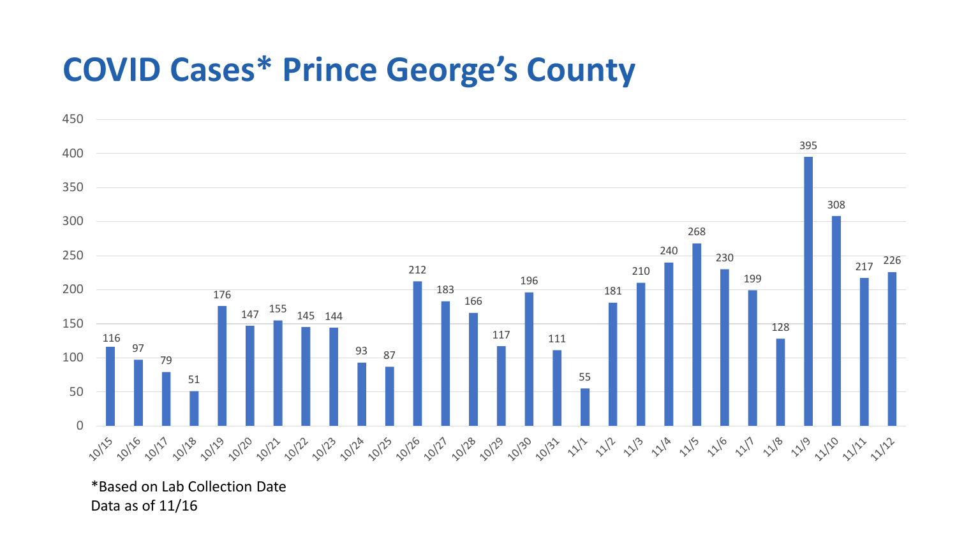## **COVID Cases\* Prince George's County**



\*Based on Lab Collection Date Data as of 11/16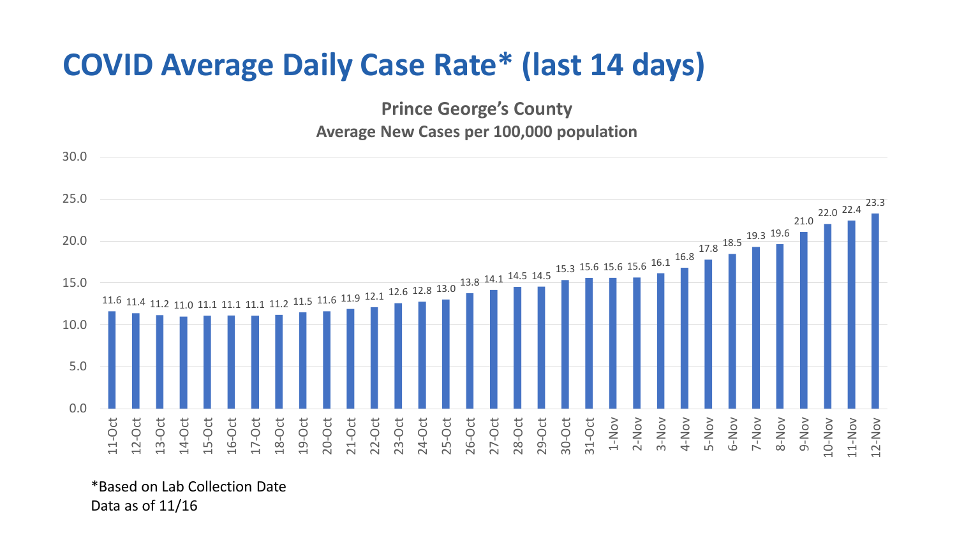## **COVID Average Daily Case Rate\* (last 14 days)**

**Prince George's County Average New Cases per 100,000 population**



\*Based on Lab Collection Date Data as of 11/16